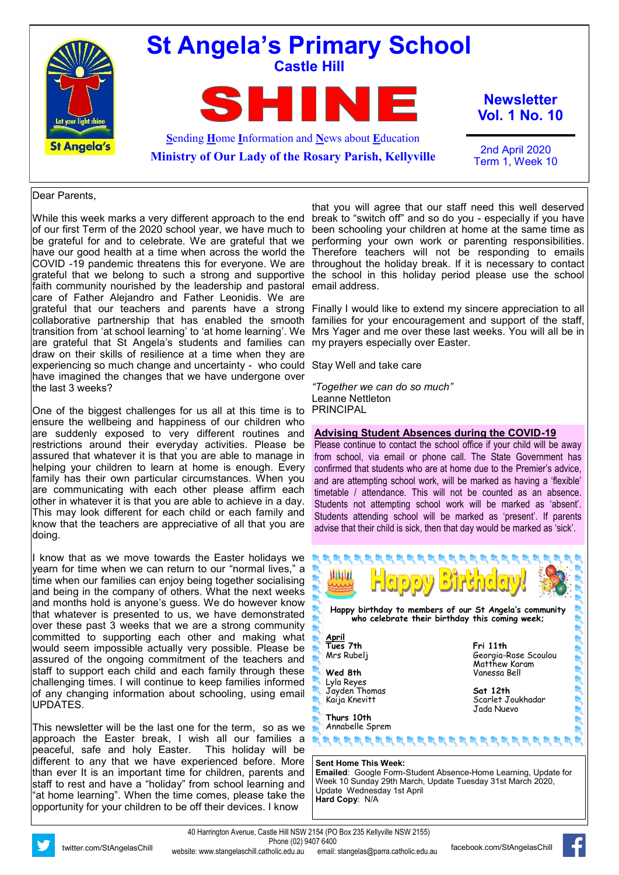

#### Dear Parents,

While this week marks a very different approach to the end be grateful for and to celebrate. We are grateful that we have our good health at a time when across the world the grateful that we belong to such a strong and supportive faith community nourished by the leadership and pastoral care of Father Alejandro and Father Leonidis. We are grateful that our teachers and parents have a strong collaborative partnership that has enabled the smooth transition from 'at school learning' to 'at home learning'. We are grateful that St Angela's students and families can my prayers especially over Easter. draw on their skills of resilience at a time when they are experiencing so much change and uncertainty - who could Stay Well and take care have imagined the changes that we have undergone over the last 3 weeks?

One of the biggest challenges for us all at this time is to ensure the wellbeing and happiness of our children who are suddenly exposed to very different routines and restrictions around their everyday activities. Please be assured that whatever it is that you are able to manage in helping your children to learn at home is enough. Every family has their own particular circumstances. When you are communicating with each other please affirm each other in whatever it is that you are able to achieve in a day. This may look different for each child or each family and know that the teachers are appreciative of all that you are doing.

I know that as we move towards the Easter holidays we yearn for time when we can return to our "normal lives," a time when our families can enjoy being together socialising and being in the company of others. What the next weeks and months hold is anyone's guess. We do however know that whatever is presented to us, we have demonstrated over these past 3 weeks that we are a strong community committed to supporting each other and making what would seem impossible actually very possible. Please be assured of the ongoing commitment of the teachers and staff to support each child and each family through these challenging times. I will continue to keep families informed of any changing information about schooling, using email UPDATES.

This newsletter will be the last one for the term, so as we approach the Easter break, I wish all our families a peaceful, safe and holy Easter. This holiday will be different to any that we have experienced before. More than ever It is an important time for children, parents and staff to rest and have a "holiday" from school learning and "at home learning". When the time comes, please take the opportunity for your children to be off their devices. I know

of our first Term of the 2020 school year, we have much to been schooling your children at home at the same time as COVID -19 pandemic threatens this for everyone. We are throughout the holiday break. If it is necessary to contact that you will agree that our staff need this well deserved break to "switch off" and so do you - especially if you have performing your own work or parenting responsibilities. Therefore teachers will not be responding to emails the school in this holiday period please use the school email address.

> Finally I would like to extend my sincere appreciation to all families for your encouragement and support of the staff, Mrs Yager and me over these last weeks. You will all be in

*"Together we can do so much"* Leanne Nettleton PRINCIPAL

#### **Advising Student Absences during the COVID-19**

Please continue to contact the school office if your child will be away from school, via email or phone call. The State Government has confirmed that students who are at home due to the Premier's advice, and are attempting school work, will be marked as having a 'flexible' timetable / attendance. This will not be counted as an absence. Students not attempting school work will be marked as 'absent'. Students attending school will be marked as 'present'. If parents advise that their child is sick, then that day would be marked as 'sick'.



**Emailed**: Google Form-Student Absence-Home Learning, Update for Week 10 Sunday 29th March, Update Tuesday 31st March 2020, Update Wednesday 1st April **Hard Copy**: N/A